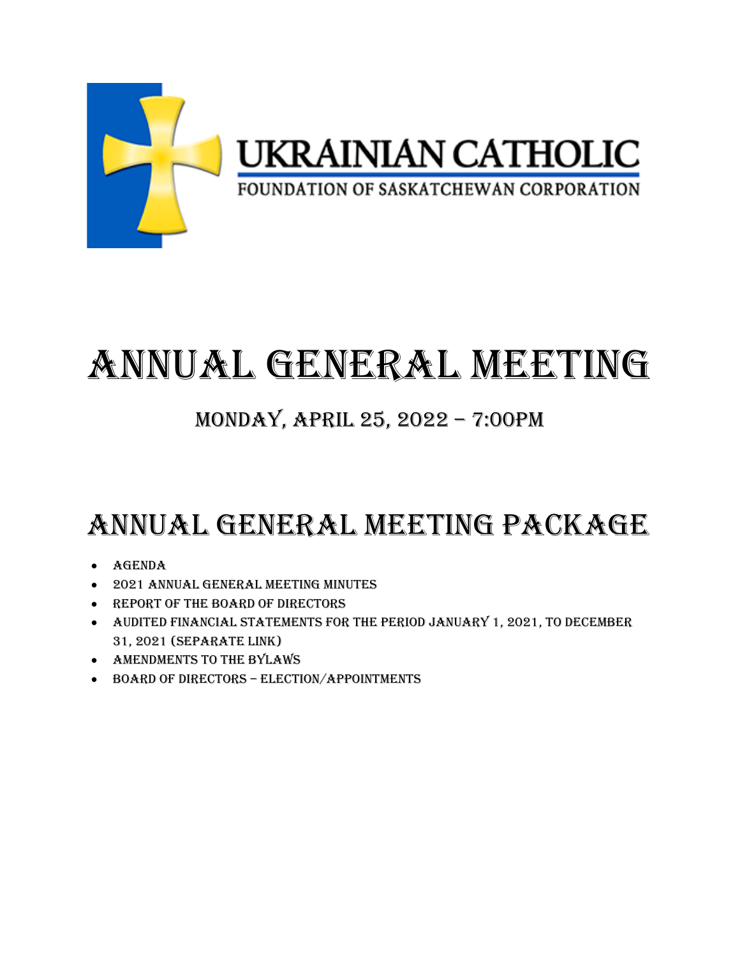

# ANNUAL GENERAL MEETING

### MONDAY, APRIL 25, 2022 – 7:00PM

## ANNUAL GENERAL MEETING PACKAGE

- Agenda
- 2021 Annual general meeting minutes
- Report of the Board of directors
- Audited financial statements for the period January 1, 2021, to December 31, 2021 (Separate link)
- Amendments to the bylaws
- Board of directors election/appointments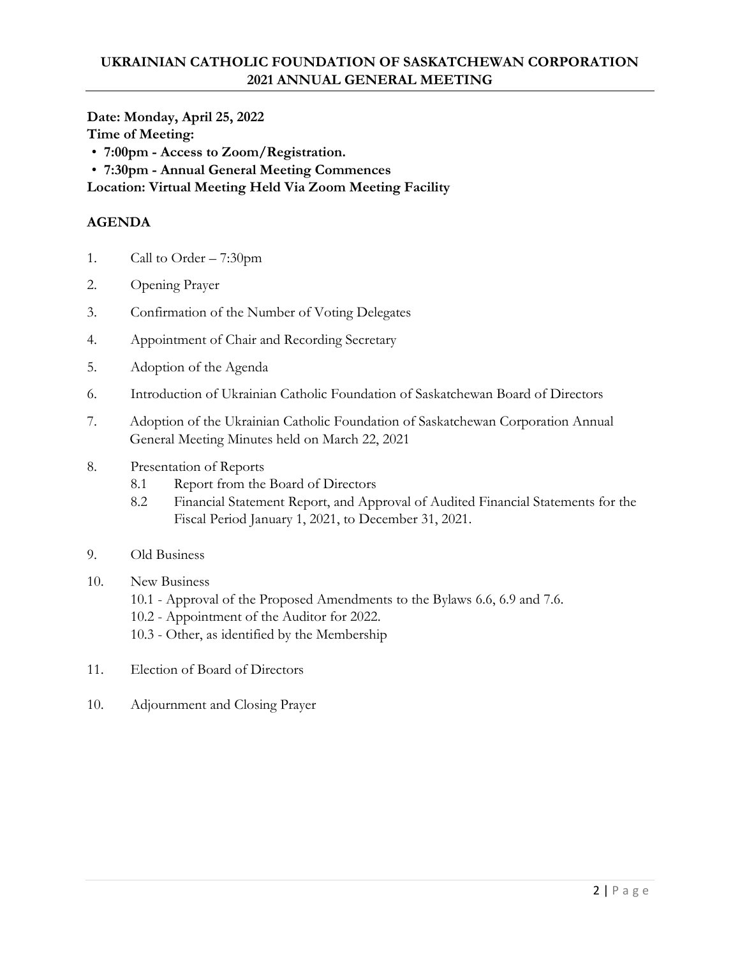**Date: Monday, April 25, 2022 Time of Meeting:** 

- **7:00pm - Access to Zoom/Registration.**
- **7:30pm - Annual General Meeting Commences**

**Location: Virtual Meeting Held Via Zoom Meeting Facility** 

#### **AGENDA**

- 1. Call to Order 7:30pm
- 2. Opening Prayer
- 3. Confirmation of the Number of Voting Delegates
- 4. Appointment of Chair and Recording Secretary
- 5. Adoption of the Agenda
- 6. Introduction of Ukrainian Catholic Foundation of Saskatchewan Board of Directors
- 7. Adoption of the Ukrainian Catholic Foundation of Saskatchewan Corporation Annual General Meeting Minutes held on March 22, 2021
- 8. Presentation of Reports
	- 8.1 Report from the Board of Directors
	- 8.2 Financial Statement Report, and Approval of Audited Financial Statements for the Fiscal Period January 1, 2021, to December 31, 2021.
- 9. Old Business
- 10. New Business
	- 10.1 Approval of the Proposed Amendments to the Bylaws 6.6, 6.9 and 7.6.
	- 10.2 Appointment of the Auditor for 2022.
	- 10.3 Other, as identified by the Membership
- 11. Election of Board of Directors
- 10. Adjournment and Closing Prayer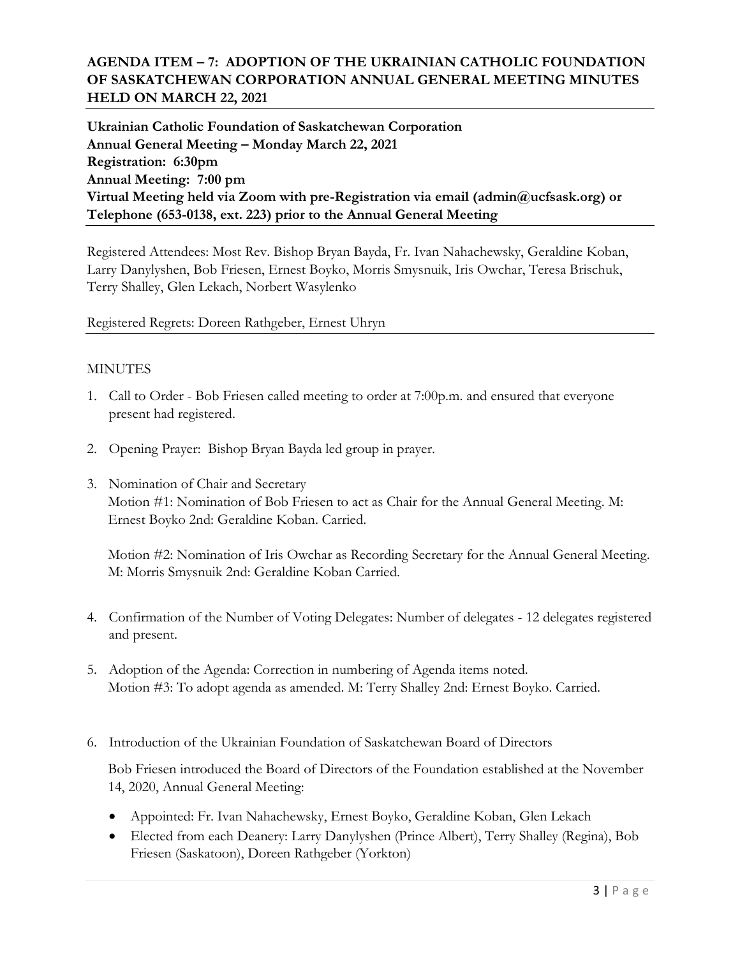#### **AGENDA ITEM – 7: ADOPTION OF THE UKRAINIAN CATHOLIC FOUNDATION OF SASKATCHEWAN CORPORATION ANNUAL GENERAL MEETING MINUTES HELD ON MARCH 22, 2021**

**Ukrainian Catholic Foundation of Saskatchewan Corporation Annual General Meeting – Monday March 22, 2021 Registration: 6:30pm Annual Meeting: 7:00 pm Virtual Meeting held via Zoom with pre-Registration via email (admin@ucfsask.org) or Telephone (653-0138, ext. 223) prior to the Annual General Meeting**

Registered Attendees: Most Rev. Bishop Bryan Bayda, Fr. Ivan Nahachewsky, Geraldine Koban, Larry Danylyshen, Bob Friesen, Ernest Boyko, Morris Smysnuik, Iris Owchar, Teresa Brischuk, Terry Shalley, Glen Lekach, Norbert Wasylenko

Registered Regrets: Doreen Rathgeber, Ernest Uhryn

#### MINUTES

- 1. Call to Order Bob Friesen called meeting to order at 7:00p.m. and ensured that everyone present had registered.
- 2. Opening Prayer: Bishop Bryan Bayda led group in prayer.
- 3. Nomination of Chair and Secretary Motion #1: Nomination of Bob Friesen to act as Chair for the Annual General Meeting. M: Ernest Boyko 2nd: Geraldine Koban. Carried.

Motion #2: Nomination of Iris Owchar as Recording Secretary for the Annual General Meeting. M: Morris Smysnuik 2nd: Geraldine Koban Carried.

- 4. Confirmation of the Number of Voting Delegates: Number of delegates 12 delegates registered and present.
- 5. Adoption of the Agenda: Correction in numbering of Agenda items noted. Motion #3: To adopt agenda as amended. M: Terry Shalley 2nd: Ernest Boyko. Carried.
- 6. Introduction of the Ukrainian Foundation of Saskatchewan Board of Directors

Bob Friesen introduced the Board of Directors of the Foundation established at the November 14, 2020, Annual General Meeting:

- Appointed: Fr. Ivan Nahachewsky, Ernest Boyko, Geraldine Koban, Glen Lekach
- Elected from each Deanery: Larry Danylyshen (Prince Albert), Terry Shalley (Regina), Bob Friesen (Saskatoon), Doreen Rathgeber (Yorkton)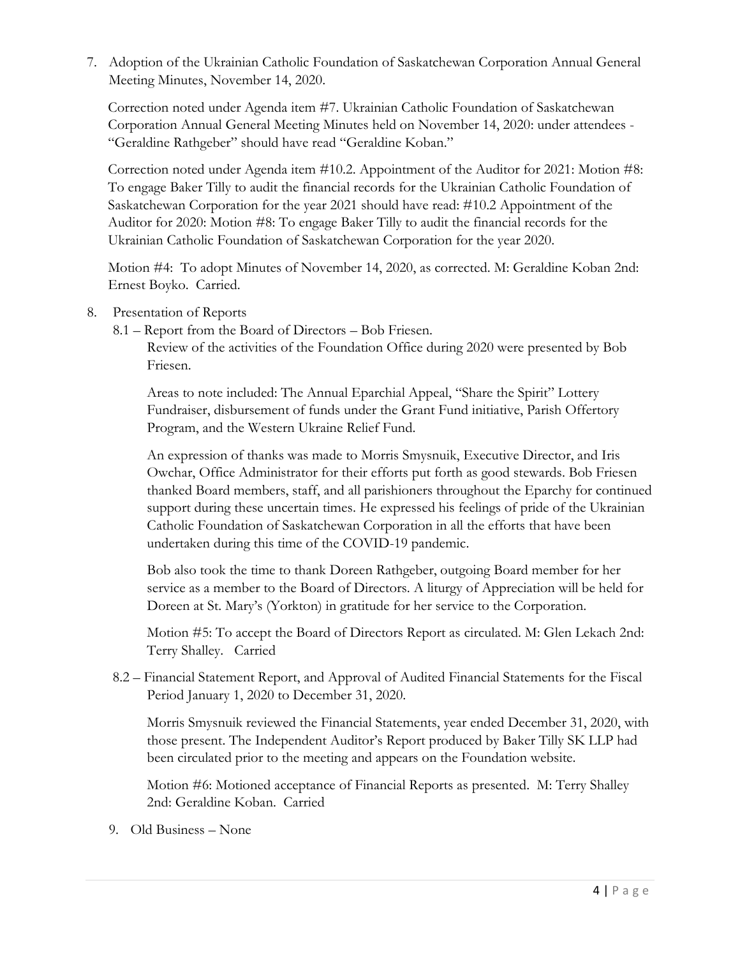7. Adoption of the Ukrainian Catholic Foundation of Saskatchewan Corporation Annual General Meeting Minutes, November 14, 2020.

Correction noted under Agenda item #7. Ukrainian Catholic Foundation of Saskatchewan Corporation Annual General Meeting Minutes held on November 14, 2020: under attendees - "Geraldine Rathgeber" should have read "Geraldine Koban."

Correction noted under Agenda item #10.2. Appointment of the Auditor for 2021: Motion #8: To engage Baker Tilly to audit the financial records for the Ukrainian Catholic Foundation of Saskatchewan Corporation for the year 2021 should have read: #10.2 Appointment of the Auditor for 2020: Motion #8: To engage Baker Tilly to audit the financial records for the Ukrainian Catholic Foundation of Saskatchewan Corporation for the year 2020.

Motion #4: To adopt Minutes of November 14, 2020, as corrected. M: Geraldine Koban 2nd: Ernest Boyko. Carried.

8. Presentation of Reports

8.1 – Report from the Board of Directors – Bob Friesen.

Review of the activities of the Foundation Office during 2020 were presented by Bob Friesen.

Areas to note included: The Annual Eparchial Appeal, "Share the Spirit" Lottery Fundraiser, disbursement of funds under the Grant Fund initiative, Parish Offertory Program, and the Western Ukraine Relief Fund.

An expression of thanks was made to Morris Smysnuik, Executive Director, and Iris Owchar, Office Administrator for their efforts put forth as good stewards. Bob Friesen thanked Board members, staff, and all parishioners throughout the Eparchy for continued support during these uncertain times. He expressed his feelings of pride of the Ukrainian Catholic Foundation of Saskatchewan Corporation in all the efforts that have been undertaken during this time of the COVID-19 pandemic.

Bob also took the time to thank Doreen Rathgeber, outgoing Board member for her service as a member to the Board of Directors. A liturgy of Appreciation will be held for Doreen at St. Mary's (Yorkton) in gratitude for her service to the Corporation.

Motion #5: To accept the Board of Directors Report as circulated. M: Glen Lekach 2nd: Terry Shalley. Carried

8.2 – Financial Statement Report, and Approval of Audited Financial Statements for the Fiscal Period January 1, 2020 to December 31, 2020.

Morris Smysnuik reviewed the Financial Statements, year ended December 31, 2020, with those present. The Independent Auditor's Report produced by Baker Tilly SK LLP had been circulated prior to the meeting and appears on the Foundation website.

Motion #6: Motioned acceptance of Financial Reports as presented. M: Terry Shalley 2nd: Geraldine Koban. Carried

9. Old Business – None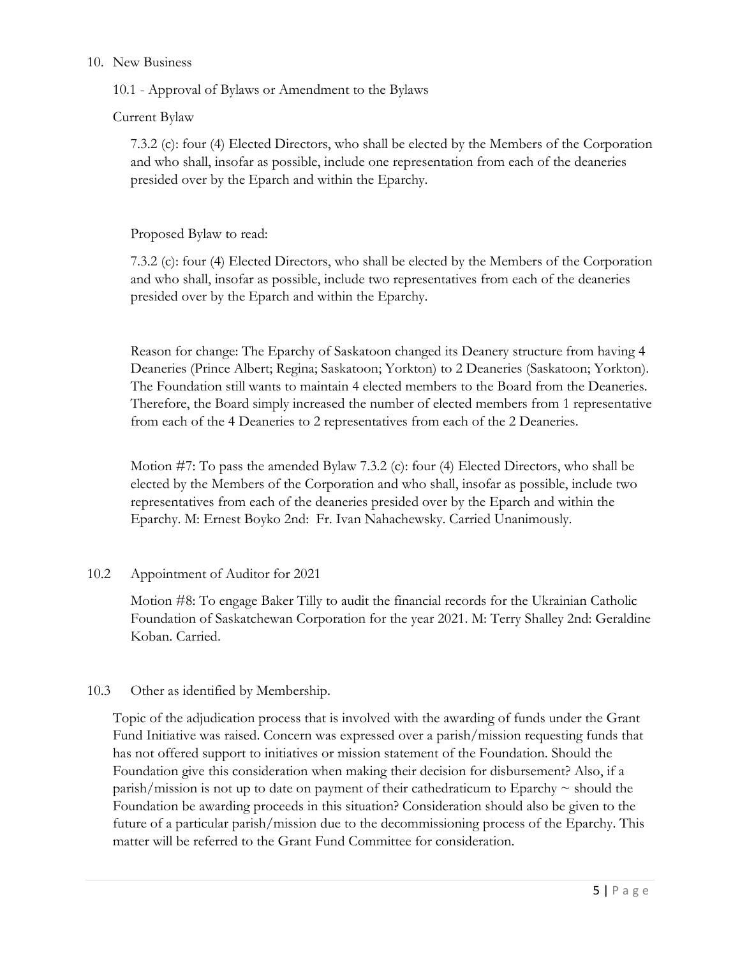#### 10. New Business

10.1 - Approval of Bylaws or Amendment to the Bylaws

Current Bylaw

7.3.2 (c): four (4) Elected Directors, who shall be elected by the Members of the Corporation and who shall, insofar as possible, include one representation from each of the deaneries presided over by the Eparch and within the Eparchy.

Proposed Bylaw to read:

7.3.2 (c): four (4) Elected Directors, who shall be elected by the Members of the Corporation and who shall, insofar as possible, include two representatives from each of the deaneries presided over by the Eparch and within the Eparchy.

Reason for change: The Eparchy of Saskatoon changed its Deanery structure from having 4 Deaneries (Prince Albert; Regina; Saskatoon; Yorkton) to 2 Deaneries (Saskatoon; Yorkton). The Foundation still wants to maintain 4 elected members to the Board from the Deaneries. Therefore, the Board simply increased the number of elected members from 1 representative from each of the 4 Deaneries to 2 representatives from each of the 2 Deaneries.

Motion #7: To pass the amended Bylaw 7.3.2 (c): four (4) Elected Directors, who shall be elected by the Members of the Corporation and who shall, insofar as possible, include two representatives from each of the deaneries presided over by the Eparch and within the Eparchy. M: Ernest Boyko 2nd: Fr. Ivan Nahachewsky. Carried Unanimously.

#### 10.2 Appointment of Auditor for 2021

Motion #8: To engage Baker Tilly to audit the financial records for the Ukrainian Catholic Foundation of Saskatchewan Corporation for the year 2021. M: Terry Shalley 2nd: Geraldine Koban. Carried.

#### 10.3 Other as identified by Membership.

Topic of the adjudication process that is involved with the awarding of funds under the Grant Fund Initiative was raised. Concern was expressed over a parish/mission requesting funds that has not offered support to initiatives or mission statement of the Foundation. Should the Foundation give this consideration when making their decision for disbursement? Also, if a parish/mission is not up to date on payment of their cathedraticum to Eparchy  $\sim$  should the Foundation be awarding proceeds in this situation? Consideration should also be given to the future of a particular parish/mission due to the decommissioning process of the Eparchy. This matter will be referred to the Grant Fund Committee for consideration.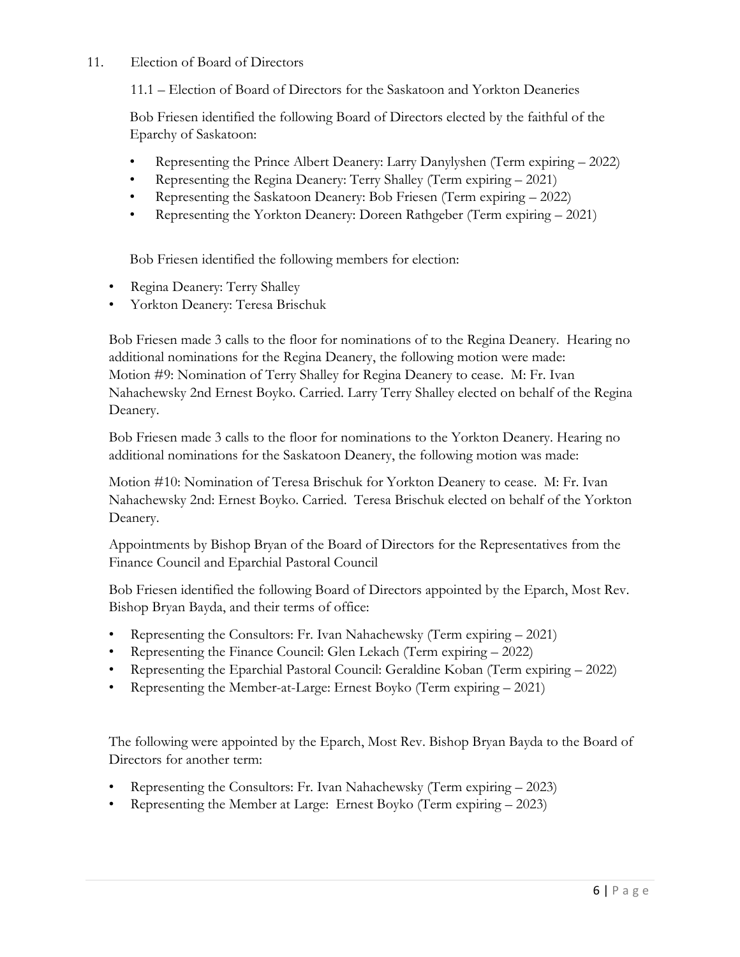#### 11. Election of Board of Directors

11.1 – Election of Board of Directors for the Saskatoon and Yorkton Deaneries

Bob Friesen identified the following Board of Directors elected by the faithful of the Eparchy of Saskatoon:

- Representing the Prince Albert Deanery: Larry Danylyshen (Term expiring 2022)
- Representing the Regina Deanery: Terry Shalley (Term expiring 2021)
- Representing the Saskatoon Deanery: Bob Friesen (Term expiring 2022)
- Representing the Yorkton Deanery: Doreen Rathgeber (Term expiring 2021)

Bob Friesen identified the following members for election:

- Regina Deanery: Terry Shalley
- Yorkton Deanery: Teresa Brischuk

Bob Friesen made 3 calls to the floor for nominations of to the Regina Deanery. Hearing no additional nominations for the Regina Deanery, the following motion were made: Motion #9: Nomination of Terry Shalley for Regina Deanery to cease. M: Fr. Ivan Nahachewsky 2nd Ernest Boyko. Carried. Larry Terry Shalley elected on behalf of the Regina Deanery.

Bob Friesen made 3 calls to the floor for nominations to the Yorkton Deanery. Hearing no additional nominations for the Saskatoon Deanery, the following motion was made:

Motion #10: Nomination of Teresa Brischuk for Yorkton Deanery to cease. M: Fr. Ivan Nahachewsky 2nd: Ernest Boyko. Carried. Teresa Brischuk elected on behalf of the Yorkton Deanery.

Appointments by Bishop Bryan of the Board of Directors for the Representatives from the Finance Council and Eparchial Pastoral Council

Bob Friesen identified the following Board of Directors appointed by the Eparch, Most Rev. Bishop Bryan Bayda, and their terms of office:

- Representing the Consultors: Fr. Ivan Nahachewsky (Term expiring 2021)
- Representing the Finance Council: Glen Lekach (Term expiring 2022)
- Representing the Eparchial Pastoral Council: Geraldine Koban (Term expiring 2022)
- Representing the Member-at-Large: Ernest Boyko (Term expiring 2021)

The following were appointed by the Eparch, Most Rev. Bishop Bryan Bayda to the Board of Directors for another term:

- Representing the Consultors: Fr. Ivan Nahachewsky (Term expiring 2023)
- Representing the Member at Large: Ernest Boyko (Term expiring 2023)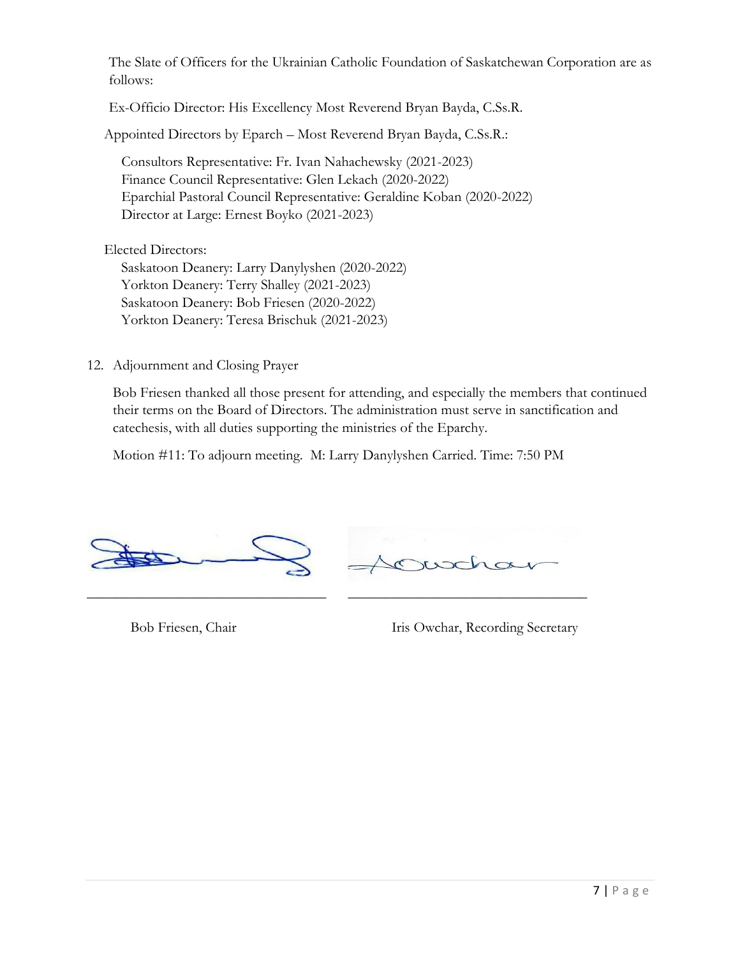The Slate of Officers for the Ukrainian Catholic Foundation of Saskatchewan Corporation are as follows:

Ex-Officio Director: His Excellency Most Reverend Bryan Bayda, C.Ss.R.

Appointed Directors by Eparch – Most Reverend Bryan Bayda, C.Ss.R.:

Consultors Representative: Fr. Ivan Nahachewsky (2021-2023) Finance Council Representative: Glen Lekach (2020-2022) Eparchial Pastoral Council Representative: Geraldine Koban (2020-2022) Director at Large: Ernest Boyko (2021-2023)

Elected Directors:

Saskatoon Deanery: Larry Danylyshen (2020-2022) Yorkton Deanery: Terry Shalley (2021-2023) Saskatoon Deanery: Bob Friesen (2020-2022) Yorkton Deanery: Teresa Brischuk (2021-2023)

12. Adjournment and Closing Prayer

Bob Friesen thanked all those present for attending, and especially the members that continued their terms on the Board of Directors. The administration must serve in sanctification and catechesis, with all duties supporting the ministries of the Eparchy.

Motion #11: To adjourn meeting. M: Larry Danylyshen Carried. Time: 7:50 PM



Bob Friesen, Chair Iris Owchar, Recording Secretary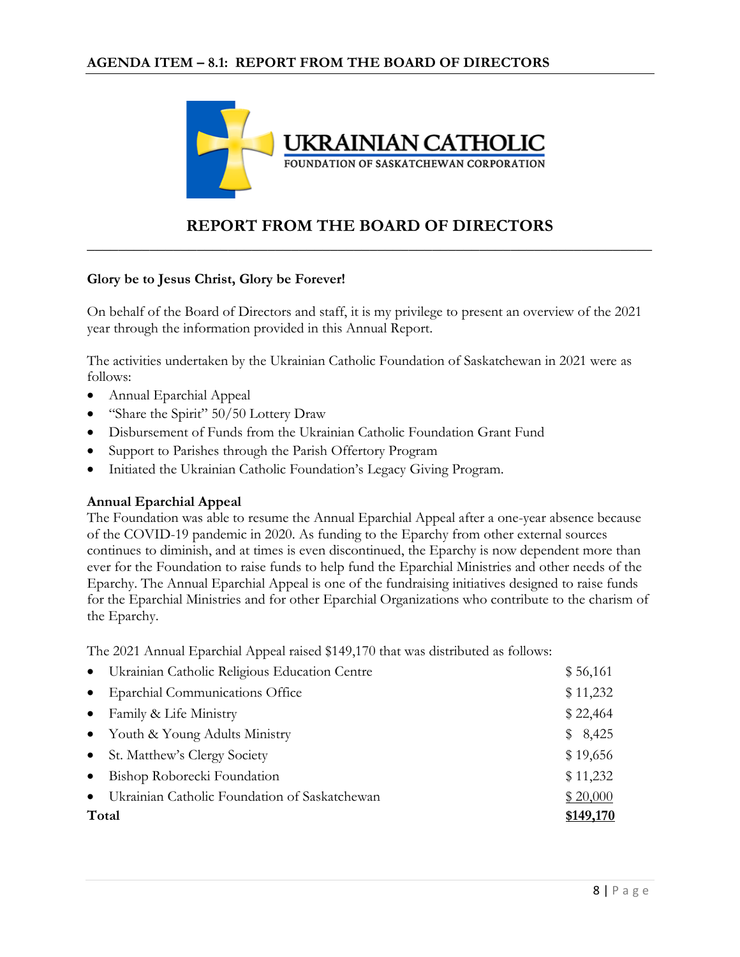

#### **REPORT FROM THE BOARD OF DIRECTORS \_\_\_\_\_\_\_\_\_\_\_\_\_\_\_\_\_\_\_\_\_\_\_\_\_\_\_\_\_\_\_\_\_\_\_\_\_\_\_\_\_\_\_\_\_\_\_\_\_\_\_\_\_\_\_\_\_\_\_\_\_\_\_\_\_\_\_\_\_\_\_\_**

#### **Glory be to Jesus Christ, Glory be Forever!**

On behalf of the Board of Directors and staff, it is my privilege to present an overview of the 2021 year through the information provided in this Annual Report.

The activities undertaken by the Ukrainian Catholic Foundation of Saskatchewan in 2021 were as follows:

- Annual Eparchial Appeal
- "Share the Spirit" 50/50 Lottery Draw
- Disbursement of Funds from the Ukrainian Catholic Foundation Grant Fund
- Support to Parishes through the Parish Offertory Program
- Initiated the Ukrainian Catholic Foundation's Legacy Giving Program.

#### **Annual Eparchial Appeal**

The Foundation was able to resume the Annual Eparchial Appeal after a one-year absence because of the COVID-19 pandemic in 2020. As funding to the Eparchy from other external sources continues to diminish, and at times is even discontinued, the Eparchy is now dependent more than ever for the Foundation to raise funds to help fund the Eparchial Ministries and other needs of the Eparchy. The Annual Eparchial Appeal is one of the fundraising initiatives designed to raise funds for the Eparchial Ministries and for other Eparchial Organizations who contribute to the charism of the Eparchy.

The 2021 Annual Eparchial Appeal raised \$149,170 that was distributed as follows:

|           | • Ukrainian Catholic Religious Education Centre | \$56,161  |
|-----------|-------------------------------------------------|-----------|
| $\bullet$ | <b>Eparchial Communications Office</b>          | \$11,232  |
| $\bullet$ | Family & Life Ministry                          | \$22,464  |
|           | • Youth & Young Adults Ministry                 | \$8,425   |
|           | • St. Matthew's Clergy Society                  | \$19,656  |
| $\bullet$ | Bishop Roborecki Foundation                     | \$11,232  |
| $\bullet$ | Ukrainian Catholic Foundation of Saskatchewan   | \$20,000  |
| Total     |                                                 | \$149,170 |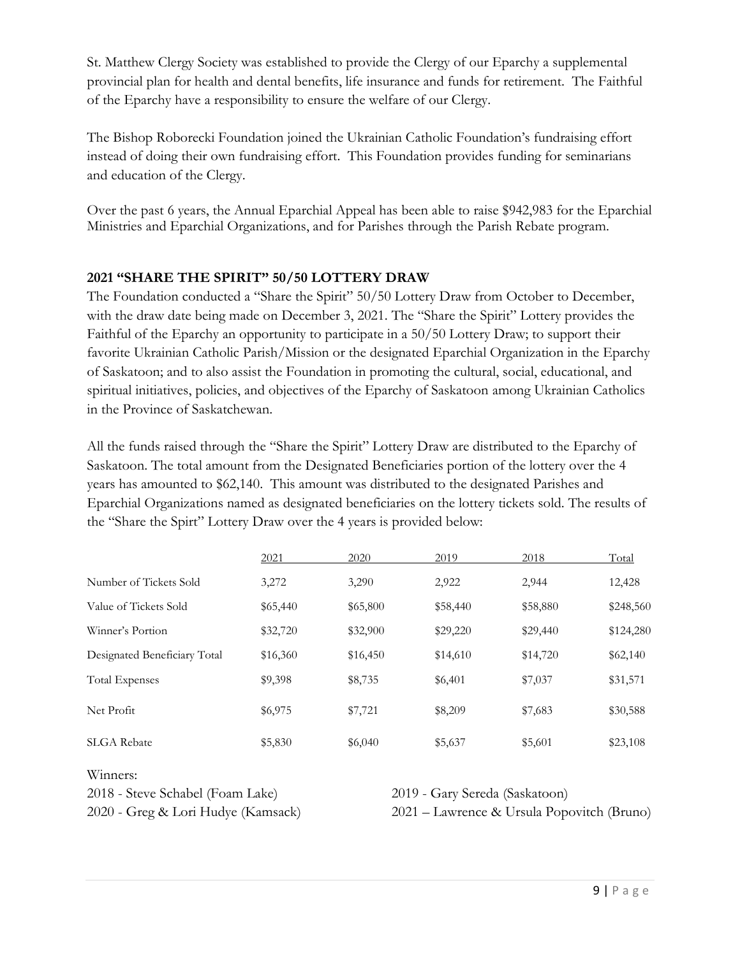St. Matthew Clergy Society was established to provide the Clergy of our Eparchy a supplemental provincial plan for health and dental benefits, life insurance and funds for retirement. The Faithful of the Eparchy have a responsibility to ensure the welfare of our Clergy.

The Bishop Roborecki Foundation joined the Ukrainian Catholic Foundation's fundraising effort instead of doing their own fundraising effort. This Foundation provides funding for seminarians and education of the Clergy.

Over the past 6 years, the Annual Eparchial Appeal has been able to raise \$942,983 for the Eparchial Ministries and Eparchial Organizations, and for Parishes through the Parish Rebate program.

#### **2021 "SHARE THE SPIRIT" 50/50 LOTTERY DRAW**

The Foundation conducted a "Share the Spirit" 50/50 Lottery Draw from October to December, with the draw date being made on December 3, 2021. The "Share the Spirit" Lottery provides the Faithful of the Eparchy an opportunity to participate in a 50/50 Lottery Draw; to support their favorite Ukrainian Catholic Parish/Mission or the designated Eparchial Organization in the Eparchy of Saskatoon; and to also assist the Foundation in promoting the cultural, social, educational, and spiritual initiatives, policies, and objectives of the Eparchy of Saskatoon among Ukrainian Catholics in the Province of Saskatchewan.

All the funds raised through the "Share the Spirit" Lottery Draw are distributed to the Eparchy of Saskatoon. The total amount from the Designated Beneficiaries portion of the lottery over the 4 years has amounted to \$62,140. This amount was distributed to the designated Parishes and Eparchial Organizations named as designated beneficiaries on the lottery tickets sold. The results of the "Share the Spirt" Lottery Draw over the 4 years is provided below:

|                              | 2021     | 2020     | 2019     | 2018     | Total     |
|------------------------------|----------|----------|----------|----------|-----------|
| Number of Tickets Sold       | 3,272    | 3,290    | 2,922    | 2,944    | 12,428    |
| Value of Tickets Sold        | \$65,440 | \$65,800 | \$58,440 | \$58,880 | \$248,560 |
| Winner's Portion             | \$32,720 | \$32,900 | \$29,220 | \$29,440 | \$124,280 |
| Designated Beneficiary Total | \$16,360 | \$16,450 | \$14,610 | \$14,720 | \$62,140  |
| <b>Total Expenses</b>        | \$9,398  | \$8,735  | \$6,401  | \$7,037  | \$31,571  |
| Net Profit                   | \$6,975  | \$7,721  | \$8,209  | \$7,683  | \$30,588  |
| <b>SLGA</b> Rebate           | \$5,830  | \$6,040  | \$5,637  | \$5,601  | \$23,108  |
|                              |          |          |          |          |           |

Winners:

2018 - Steve Schabel (Foam Lake) 2019 - Gary Sereda (Saskatoon)

2020 - Greg & Lori Hudye (Kamsack) 2021 – Lawrence & Ursula Popovitch (Bruno)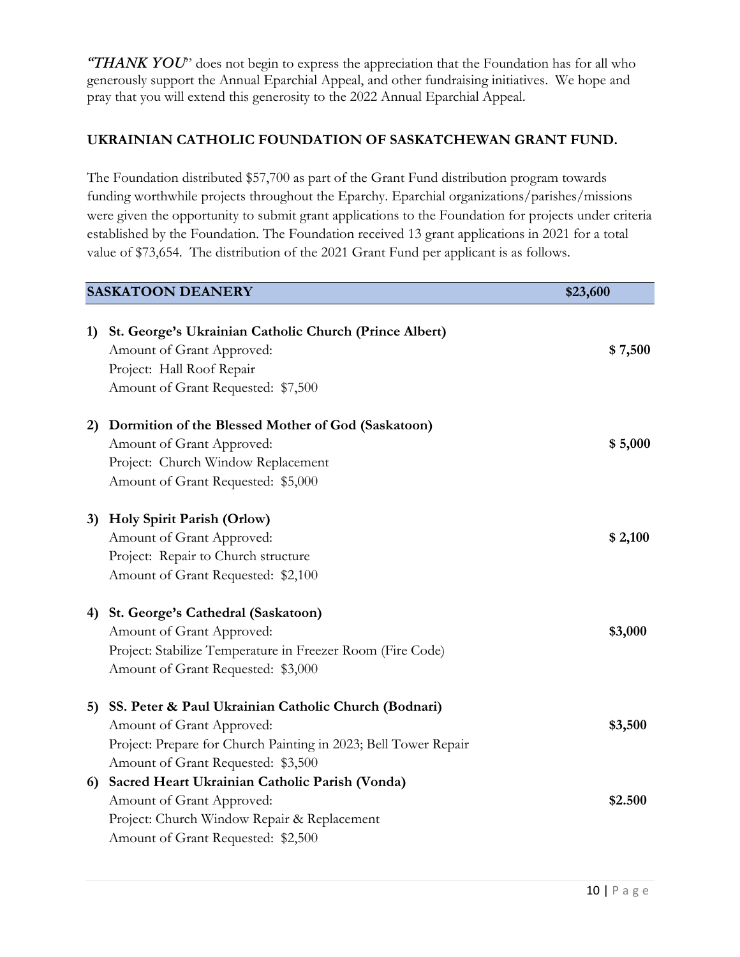*"THANK YOU*" does not begin to express the appreciation that the Foundation has for all who generously support the Annual Eparchial Appeal, and other fundraising initiatives. We hope and pray that you will extend this generosity to the 2022 Annual Eparchial Appeal.

#### **UKRAINIAN CATHOLIC FOUNDATION OF SASKATCHEWAN GRANT FUND.**

The Foundation distributed \$57,700 as part of the Grant Fund distribution program towards funding worthwhile projects throughout the Eparchy. Eparchial organizations/parishes/missions were given the opportunity to submit grant applications to the Foundation for projects under criteria established by the Foundation. The Foundation received 13 grant applications in 2021 for a total value of \$73,654. The distribution of the 2021 Grant Fund per applicant is as follows.

| <b>SASKATOON DEANERY</b> |                                                                                                                                                                                            | \$23,600 |
|--------------------------|--------------------------------------------------------------------------------------------------------------------------------------------------------------------------------------------|----------|
| 1)                       | St. George's Ukrainian Catholic Church (Prince Albert)<br>Amount of Grant Approved:<br>Project: Hall Roof Repair<br>Amount of Grant Requested: \$7,500                                     | \$7,500  |
| 2)                       | Dormition of the Blessed Mother of God (Saskatoon)<br>Amount of Grant Approved:<br>Project: Church Window Replacement<br>Amount of Grant Requested: \$5,000                                | \$5,000  |
| 3)                       | Holy Spirit Parish (Orlow)<br>Amount of Grant Approved:<br>Project: Repair to Church structure<br>Amount of Grant Requested: \$2,100                                                       | \$2,100  |
| 4)                       | St. George's Cathedral (Saskatoon)<br>Amount of Grant Approved:<br>Project: Stabilize Temperature in Freezer Room (Fire Code)<br>Amount of Grant Requested: \$3,000                        | \$3,000  |
| 5)                       | SS. Peter & Paul Ukrainian Catholic Church (Bodnari)<br>Amount of Grant Approved:<br>Project: Prepare for Church Painting in 2023; Bell Tower Repair<br>Amount of Grant Requested: \$3,500 | \$3,500  |
| 6)                       | Sacred Heart Ukrainian Catholic Parish (Vonda)<br>Amount of Grant Approved:<br>Project: Church Window Repair & Replacement<br>Amount of Grant Requested: \$2,500                           | \$2.500  |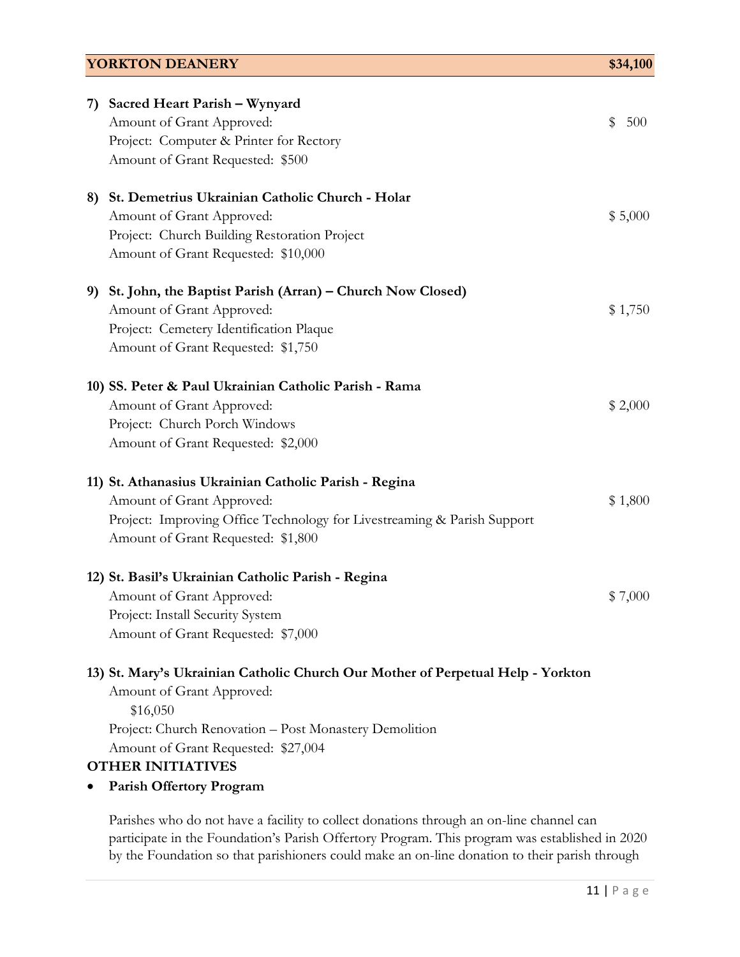| <b>YORKTON DEANERY</b>                                                                                                                                                                                                                                                                   |         |  |
|------------------------------------------------------------------------------------------------------------------------------------------------------------------------------------------------------------------------------------------------------------------------------------------|---------|--|
| Sacred Heart Parish - Wynyard<br>7)<br>Amount of Grant Approved:<br>\$<br>Project: Computer & Printer for Rectory<br>Amount of Grant Requested: \$500                                                                                                                                    | 500     |  |
| 8) St. Demetrius Ukrainian Catholic Church - Holar<br>Amount of Grant Approved:<br>Project: Church Building Restoration Project<br>Amount of Grant Requested: \$10,000                                                                                                                   | \$5,000 |  |
| St. John, the Baptist Parish (Arran) – Church Now Closed)<br>9)<br>Amount of Grant Approved:<br>Project: Cemetery Identification Plaque<br>Amount of Grant Requested: \$1,750                                                                                                            | \$1,750 |  |
| 10) SS. Peter & Paul Ukrainian Catholic Parish - Rama<br>Amount of Grant Approved:<br>Project: Church Porch Windows<br>Amount of Grant Requested: \$2,000                                                                                                                                | \$2,000 |  |
| 11) St. Athanasius Ukrainian Catholic Parish - Regina<br>Amount of Grant Approved:<br>Project: Improving Office Technology for Livestreaming & Parish Support<br>Amount of Grant Requested: \$1,800                                                                                      | \$1,800 |  |
| 12) St. Basil's Ukrainian Catholic Parish - Regina<br>Amount of Grant Approved:<br>Project: Install Security System<br>Amount of Grant Requested: \$7,000                                                                                                                                | \$7,000 |  |
| 13) St. Mary's Ukrainian Catholic Church Our Mother of Perpetual Help - Yorkton<br>Amount of Grant Approved:<br>\$16,050<br>Project: Church Renovation - Post Monastery Demolition<br>Amount of Grant Requested: \$27,004<br><b>OTHER INITIATIVES</b><br><b>Parish Offertory Program</b> |         |  |

Parishes who do not have a facility to collect donations through an on-line channel can participate in the Foundation's Parish Offertory Program. This program was established in 2020 by the Foundation so that parishioners could make an on-line donation to their parish through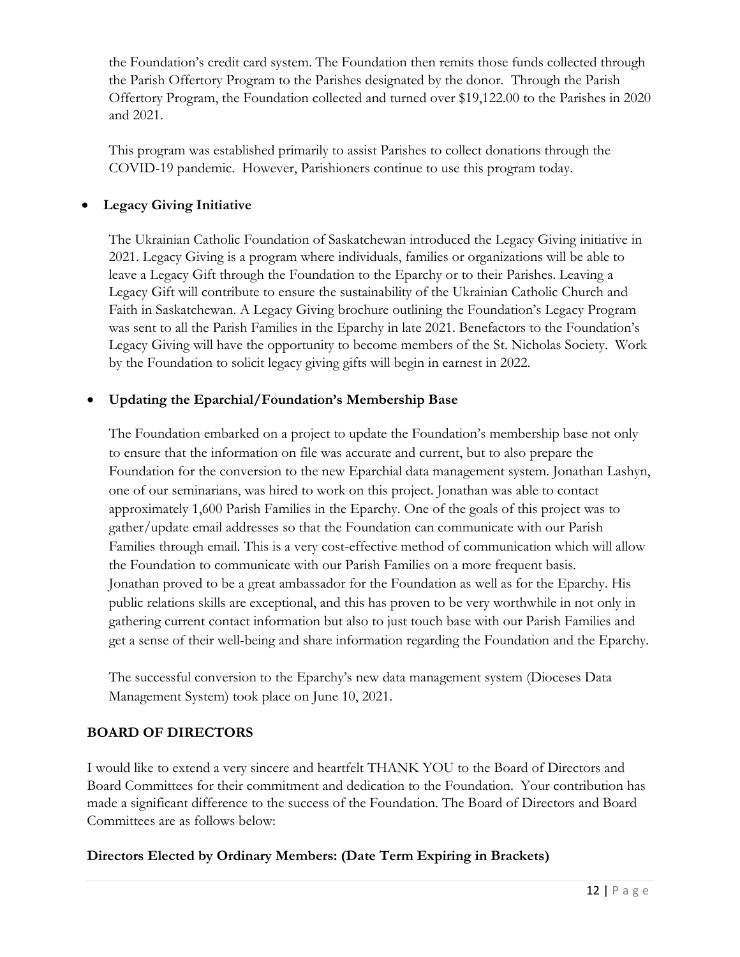the Foundation's credit card system. The Foundation then remits those funds collected through the Parish Offertory Program to the Parishes designated by the donor. Through the Parish Offertory Program, the Foundation collected and turned over \$19,122.00 to the Parishes in 2020 and 2021.

This program was established primarily to assist Parishes to collect donations through the COVID-19 pandemic. However, Parishioners continue to use this program today.

#### • **Legacy Giving Initiative**

The Ukrainian Catholic Foundation of Saskatchewan introduced the Legacy Giving initiative in 2021. Legacy Giving is a program where individuals, families or organizations will be able to leave a Legacy Gift through the Foundation to the Eparchy or to their Parishes. Leaving a Legacy Gift will contribute to ensure the sustainability of the Ukrainian Catholic Church and Faith in Saskatchewan. A Legacy Giving brochure outlining the Foundation's Legacy Program was sent to all the Parish Families in the Eparchy in late 2021. Benefactors to the Foundation's Legacy Giving will have the opportunity to become members of the St. Nicholas Society. Work by the Foundation to solicit legacy giving gifts will begin in earnest in 2022.

#### • **Updating the Eparchial/Foundation's Membership Base**

The Foundation embarked on a project to update the Foundation's membership base not only to ensure that the information on file was accurate and current, but to also prepare the Foundation for the conversion to the new Eparchial data management system. Jonathan Lashyn, one of our seminarians, was hired to work on this project. Jonathan was able to contact approximately 1,600 Parish Families in the Eparchy. One of the goals of this project was to gather/update email addresses so that the Foundation can communicate with our Parish Families through email. This is a very cost-effective method of communication which will allow the Foundation to communicate with our Parish Families on a more frequent basis. Jonathan proved to be a great ambassador for the Foundation as well as for the Eparchy. His public relations skills are exceptional, and this has proven to be very worthwhile in not only in gathering current contact information but also to just touch base with our Parish Families and get a sense of their well-being and share information regarding the Foundation and the Eparchy.

The successful conversion to the Eparchy's new data management system (Dioceses Data Management System) took place on June 10, 2021.

#### **BOARD OF DIRECTORS**

I would like to extend a very sincere and heartfelt THANK YOU to the Board of Directors and Board Committees for their commitment and dedication to the Foundation. Your contribution has made a significant difference to the success of the Foundation. The Board of Directors and Board Committees are as follows below:

#### **Directors Elected by Ordinary Members: (Date Term Expiring in Brackets)**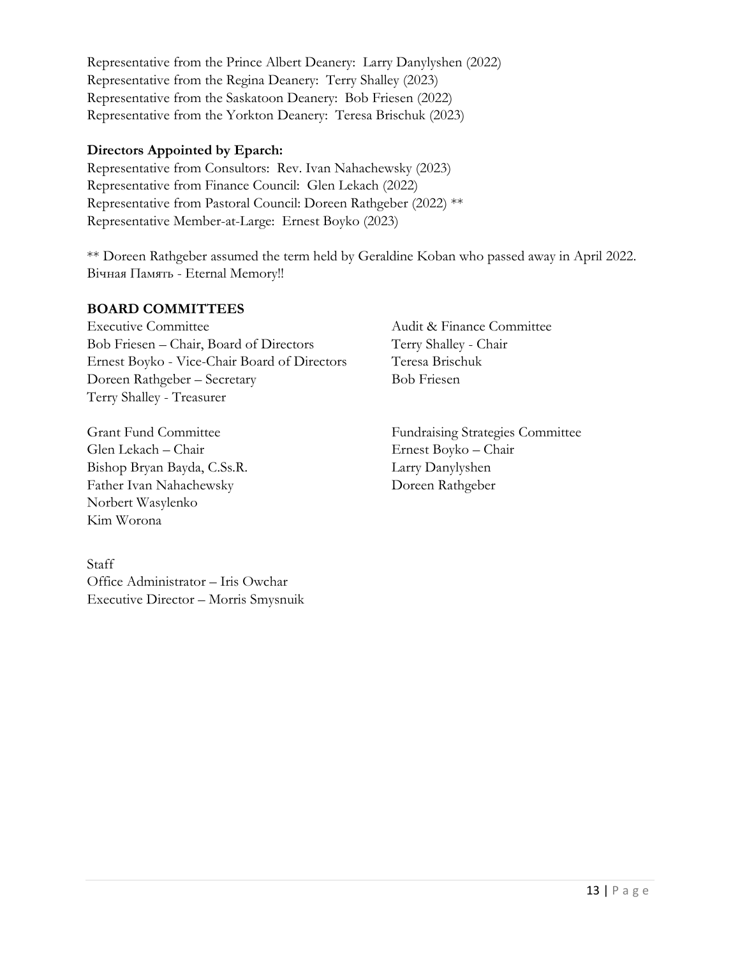Representative from the Prince Albert Deanery: Larry Danylyshen (2022) Representative from the Regina Deanery: Terry Shalley (2023) Representative from the Saskatoon Deanery: Bob Friesen (2022) Representative from the Yorkton Deanery: Teresa Brischuk (2023)

#### **Directors Appointed by Eparch:**

Representative from Consultors: Rev. Ivan Nahachewsky (2023) Representative from Finance Council: Glen Lekach (2022) Representative from Pastoral Council: Doreen Rathgeber (2022) \*\* Representative Member-at-Large: Ernest Boyko (2023)

\*\* Doreen Rathgeber assumed the term held by Geraldine Koban who passed away in April 2022. Вічная Память - Eternal Memory!!

#### **BOARD COMMITTEES**

Executive Committee Audit & Finance Committee Bob Friesen – Chair, Board of Directors Terry Shalley - Chair Ernest Boyko - Vice-Chair Board of Directors Teresa Brischuk Doreen Rathgeber – Secretary Bob Friesen Terry Shalley - Treasurer

Glen Lekach – Chair Ernest Boyko – Chair Bishop Bryan Bayda, C.Ss.R. Larry Danylyshen Father Ivan Nahachewsky Doreen Rathgeber Norbert Wasylenko Kim Worona

Staff Office Administrator – Iris Owchar Executive Director – Morris Smysnuik

Grant Fund Committee Fundraising Strategies Committee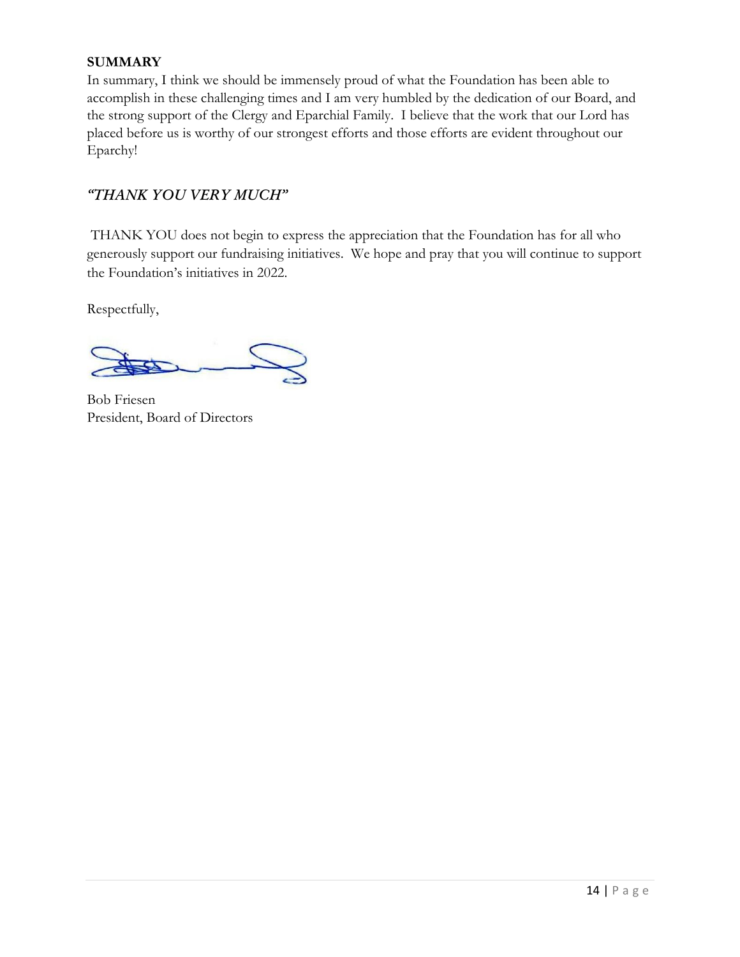#### **SUMMARY**

In summary, I think we should be immensely proud of what the Foundation has been able to accomplish in these challenging times and I am very humbled by the dedication of our Board, and the strong support of the Clergy and Eparchial Family. I believe that the work that our Lord has placed before us is worthy of our strongest efforts and those efforts are evident throughout our Eparchy!

#### *"THANK YOU VERY MUCH"*

THANK YOU does not begin to express the appreciation that the Foundation has for all who generously support our fundraising initiatives. We hope and pray that you will continue to support the Foundation's initiatives in 2022.

Respectfully,

Bob Friesen President, Board of Directors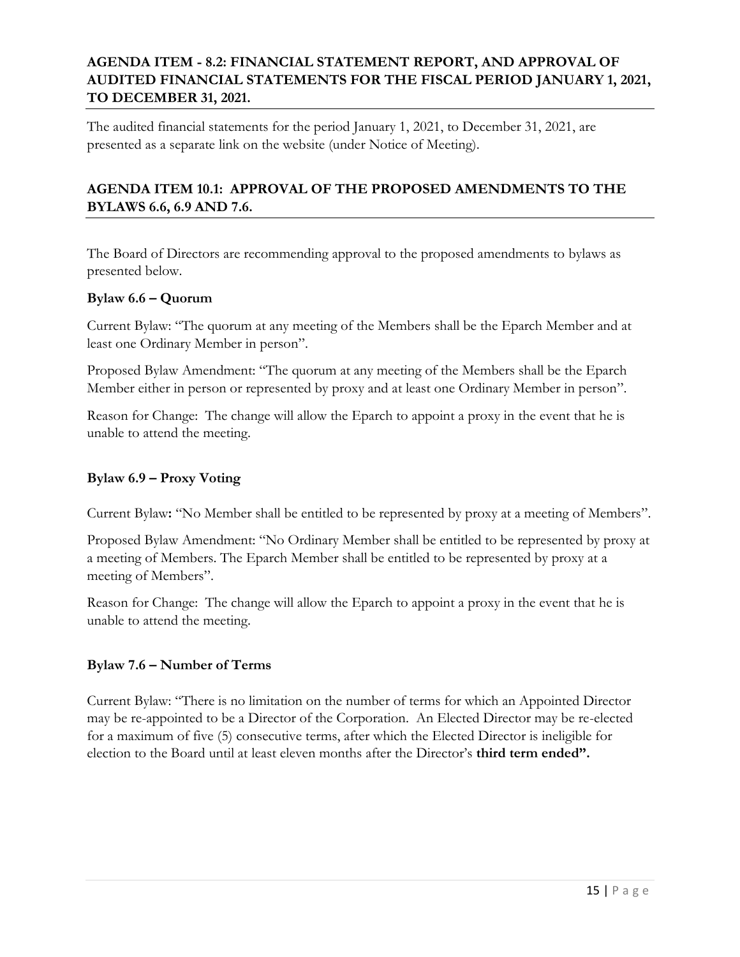#### **AGENDA ITEM - 8.2: FINANCIAL STATEMENT REPORT, AND APPROVAL OF AUDITED FINANCIAL STATEMENTS FOR THE FISCAL PERIOD JANUARY 1, 2021, TO DECEMBER 31, 2021.**

The audited financial statements for the period January 1, 2021, to December 31, 2021, are presented as a separate link on the website (under Notice of Meeting).

#### **AGENDA ITEM 10.1: APPROVAL OF THE PROPOSED AMENDMENTS TO THE BYLAWS 6.6, 6.9 AND 7.6.**

The Board of Directors are recommending approval to the proposed amendments to bylaws as presented below.

#### **Bylaw 6.6 – Quorum**

Current Bylaw: "The quorum at any meeting of the Members shall be the Eparch Member and at least one Ordinary Member in person".

Proposed Bylaw Amendment: "The quorum at any meeting of the Members shall be the Eparch Member either in person or represented by proxy and at least one Ordinary Member in person".

Reason for Change: The change will allow the Eparch to appoint a proxy in the event that he is unable to attend the meeting.

#### **Bylaw 6.9 – Proxy Voting**

Current Bylaw**:** "No Member shall be entitled to be represented by proxy at a meeting of Members".

Proposed Bylaw Amendment: "No Ordinary Member shall be entitled to be represented by proxy at a meeting of Members. The Eparch Member shall be entitled to be represented by proxy at a meeting of Members".

Reason for Change: The change will allow the Eparch to appoint a proxy in the event that he is unable to attend the meeting.

#### **Bylaw 7.6 – Number of Terms**

Current Bylaw: "There is no limitation on the number of terms for which an Appointed Director may be re-appointed to be a Director of the Corporation. An Elected Director may be re-elected for a maximum of five (5) consecutive terms, after which the Elected Director is ineligible for election to the Board until at least eleven months after the Director's **third term ended".**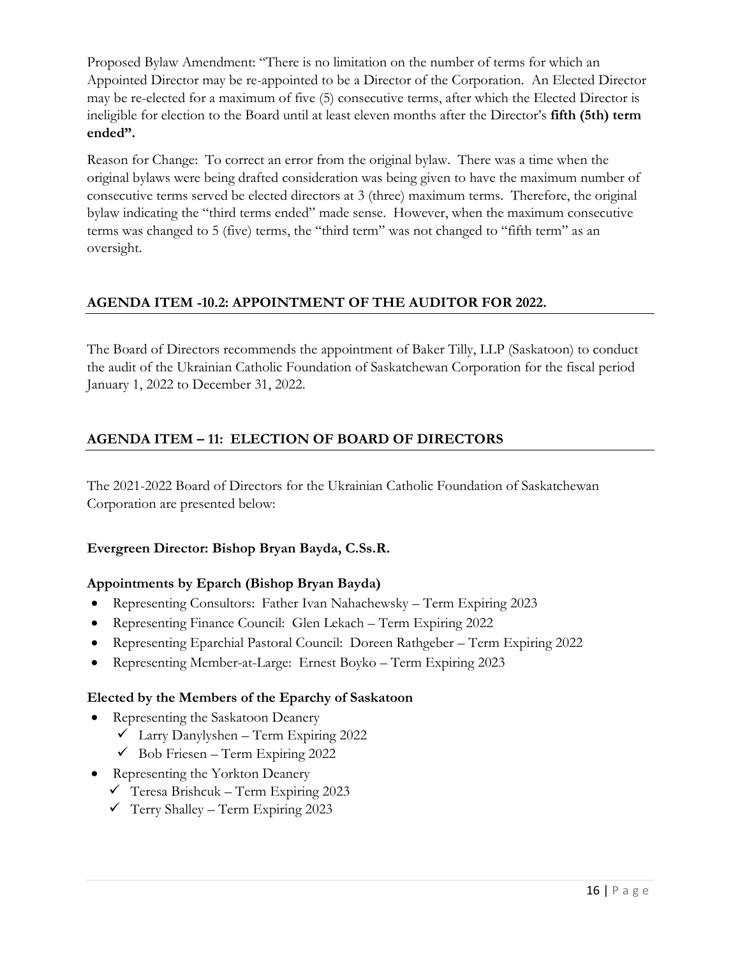Proposed Bylaw Amendment: "There is no limitation on the number of terms for which an Appointed Director may be re-appointed to be a Director of the Corporation. An Elected Director may be re-elected for a maximum of five (5) consecutive terms, after which the Elected Director is ineligible for election to the Board until at least eleven months after the Director's **fifth (5th) term ended".**

Reason for Change: To correct an error from the original bylaw. There was a time when the original bylaws were being drafted consideration was being given to have the maximum number of consecutive terms served be elected directors at 3 (three) maximum terms. Therefore, the original bylaw indicating the "third terms ended" made sense. However, when the maximum consecutive terms was changed to 5 (five) terms, the "third term" was not changed to "fifth term" as an oversight.

#### **AGENDA ITEM -10.2: APPOINTMENT OF THE AUDITOR FOR 2022.**

The Board of Directors recommends the appointment of Baker Tilly, LLP (Saskatoon) to conduct the audit of the Ukrainian Catholic Foundation of Saskatchewan Corporation for the fiscal period January 1, 2022 to December 31, 2022.

#### **AGENDA ITEM – 11: ELECTION OF BOARD OF DIRECTORS**

The 2021-2022 Board of Directors for the Ukrainian Catholic Foundation of Saskatchewan Corporation are presented below:

#### **Evergreen Director: Bishop Bryan Bayda, C.Ss.R.**

#### **Appointments by Eparch (Bishop Bryan Bayda)**

- Representing Consultors: Father Ivan Nahachewsky Term Expiring 2023
- Representing Finance Council: Glen Lekach Term Expiring 2022
- Representing Eparchial Pastoral Council: Doreen Rathgeber Term Expiring 2022
- Representing Member-at-Large: Ernest Boyko Term Expiring 2023

#### **Elected by the Members of the Eparchy of Saskatoon**

- Representing the Saskatoon Deanery
	- $\checkmark$  Larry Danylyshen Term Expiring 2022
	- $\checkmark$  Bob Friesen Term Expiring 2022
- Representing the Yorkton Deanery
	- $\checkmark$  Teresa Brishcuk Term Expiring 2023
	- $\checkmark$  Terry Shalley Term Expiring 2023